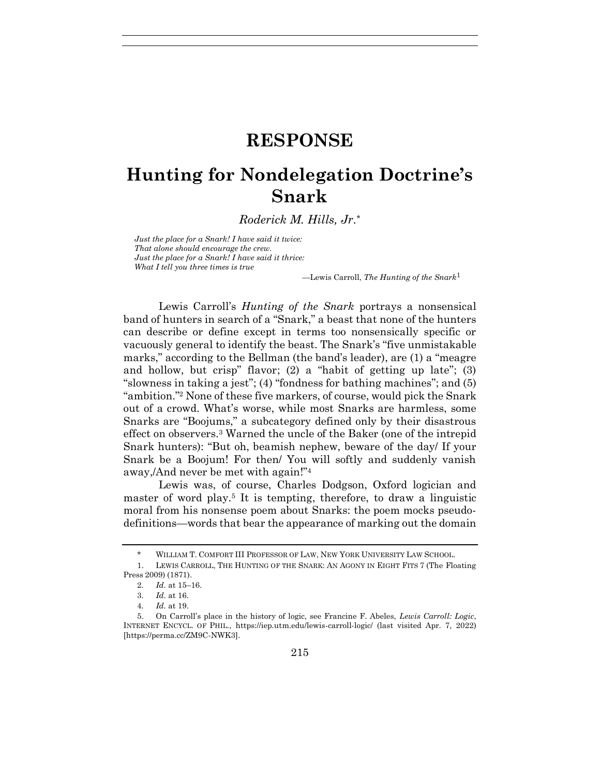## **RESPONSE**

## **Hunting for Nondelegation Doctrine's Snark**

*Roderick M. Hills, Jr.\**

*Just the place for a Snark! I have said it twice: That alone should encourage the crew. Just the place for a Snark! I have said it thrice: What I tell you three times is true*

<span id="page-0-0"></span>*—*Lewis Carroll, *The Hunting of the Snark*<sup>1</sup>

Lewis Carroll's *Hunting of the Snark* portrays a nonsensical band of hunters in search of a "Snark," a beast that none of the hunters can describe or define except in terms too nonsensically specific or vacuously general to identify the beast. The Snark's "five unmistakable marks," according to the Bellman (the band's leader), are (1) a "meagre and hollow, but crisp" flavor; (2) a "habit of getting up late"; (3) "slowness in taking a jest"; (4) "fondness for bathing machines"; and (5) "ambition."<sup>2</sup> None of these five markers, of course, would pick the Snark out of a crowd. What's worse, while most Snarks are harmless, some Snarks are "Boojums," a subcategory defined only by their disastrous effect on observers.<sup>3</sup> Warned the uncle of the Baker (one of the intrepid Snark hunters): "But oh, beamish nephew, beware of the day/ If your Snark be a Boojum! For then/ You will softly and suddenly vanish away,/And never be met with again!"<sup>4</sup>

Lewis was, of course, Charles Dodgson, Oxford logician and master of word play.<sup>5</sup> It is tempting, therefore, to draw a linguistic moral from his nonsense poem about Snarks: the poem mocks pseudodefinitions—words that bear the appearance of marking out the domain

<sup>\*</sup> WILLIAM T. COMFORT III PROFESSOR OF LAW, NEW YORK UNIVERSITY LAW SCHOOL.

<sup>1.</sup> LEWIS CARROLL, THE HUNTING OF THE SNARK: AN AGONY IN EIGHT FITS 7 (The Floating Press 2009) (1871).

<sup>2</sup>*. Id.* at 15–16.

<sup>3</sup>*. Id.* at 16.

<sup>4</sup>*. Id.* at 19.

<sup>5.</sup> On Carroll's place in the history of logic, see Francine F. Abeles, *Lewis Carroll: Logic*, INTERNET ENCYCL. OF PHIL., https://iep.utm.edu/lewis-carroll-logic/ (last visited Apr. 7, 2022) [https://perma.cc/ZM9C-NWK3].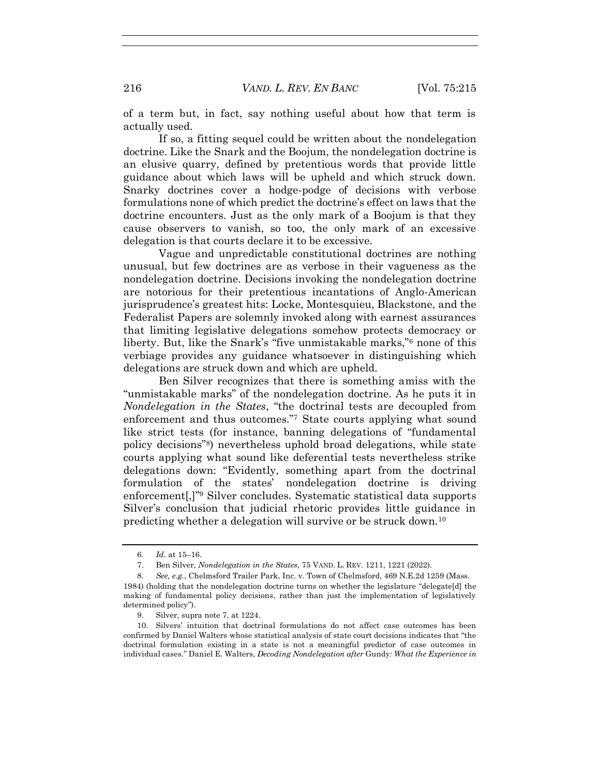of a term but, in fact, say nothing useful about how that term is actually used.

If so, a fitting sequel could be written about the nondelegation doctrine. Like the Snark and the Boojum, the nondelegation doctrine is an elusive quarry, defined by pretentious words that provide little guidance about which laws will be upheld and which struck down. Snarky doctrines cover a hodge-podge of decisions with verbose formulations none of which predict the doctrine's effect on laws that the doctrine encounters. Just as the only mark of a Boojum is that they cause observers to vanish, so too, the only mark of an excessive delegation is that courts declare it to be excessive.

Vague and unpredictable constitutional doctrines are nothing unusual, but few doctrines are as verbose in their vagueness as the nondelegation doctrine. Decisions invoking the nondelegation doctrine are notorious for their pretentious incantations of Anglo-American jurisprudence's greatest hits: Locke, Montesquieu, Blackstone, and the Federalist Papers are solemnly invoked along with earnest assurances that limiting legislative delegations somehow protects democracy or liberty. But, like the Snark's "five unmistakable marks,"<sup>6</sup> none of this verbiage provides any guidance whatsoever in distinguishing which delegations are struck down and which are upheld.

<span id="page-1-0"></span>Ben Silver recognizes that there is something amiss with the "unmistakable marks" of the nondelegation doctrine. As he puts it in *Nondelegation in the States*, "the doctrinal tests are decoupled from enforcement and thus outcomes."<sup>7</sup> State courts applying what sound like strict tests (for instance, banning delegations of "fundamental policy decisions"<sup>8</sup> ) nevertheless uphold broad delegations, while state courts applying what sound like deferential tests nevertheless strike delegations down: "Evidently, something apart from the doctrinal formulation of the states' nondelegation doctrine is driving enforcement[,]" <sup>9</sup> Silver concludes. Systematic statistical data supports Silver's conclusion that judicial rhetoric provides little guidance in predicting whether a delegation will survive or be struck down.<sup>10</sup>

<sup>6</sup>*. Id.* at 15–16.

<sup>7.</sup> Ben Silver, *Nondelegation in the States*, 75 VAND. L. REV. 1211, 1221 (2022).

<sup>8</sup>*. See, e.g.*, Chelmsford Trailer Park, Inc. v. Town of Chelmsford, 469 N.E.2d 1259 (Mass. 1984) (holding that the nondelegation doctrine turns on whether the legislature "delegate[d] the making of fundamental policy decisions, rather than just the implementation of legislatively determined policy").

<sup>9.</sup> Silver, supra note [7,](#page-1-0) at 1224.

<sup>10.</sup> Silvers' intuition that doctrinal formulations do not affect case outcomes has been confirmed by Daniel Walters whose statistical analysis of state court decisions indicates that "the doctrinal formulation existing in a state is not a meaningful predictor of case outcomes in individual cases." Daniel E. Walters, *Decoding Nondelegation after* Gundy*: What the Experience in*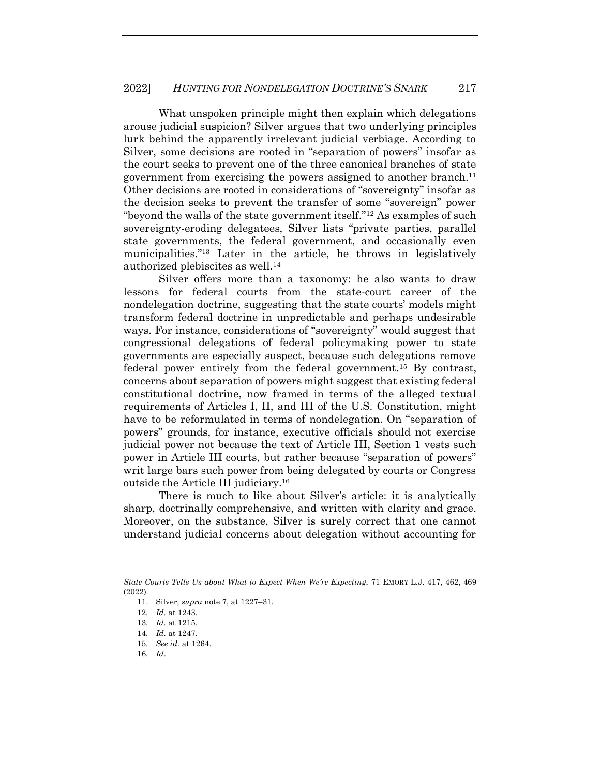What unspoken principle might then explain which delegations arouse judicial suspicion? Silver argues that two underlying principles lurk behind the apparently irrelevant judicial verbiage. According to Silver, some decisions are rooted in "separation of powers" insofar as the court seeks to prevent one of the three canonical branches of state government from exercising the powers assigned to another branch.<sup>11</sup> Other decisions are rooted in considerations of "sovereignty" insofar as the decision seeks to prevent the transfer of some "sovereign" power "beyond the walls of the state government itself."<sup>12</sup> As examples of such sovereignty-eroding delegatees, Silver lists "private parties, parallel state governments, the federal government, and occasionally even municipalities."<sup>13</sup> Later in the article, he throws in legislatively authorized plebiscites as well.<sup>14</sup>

Silver offers more than a taxonomy: he also wants to draw lessons for federal courts from the state-court career of the nondelegation doctrine, suggesting that the state courts' models might transform federal doctrine in unpredictable and perhaps undesirable ways. For instance, considerations of "sovereignty" would suggest that congressional delegations of federal policymaking power to state governments are especially suspect, because such delegations remove federal power entirely from the federal government.<sup>15</sup> By contrast, concerns about separation of powers might suggest that existing federal constitutional doctrine, now framed in terms of the alleged textual requirements of Articles I, II, and III of the U.S. Constitution, might have to be reformulated in terms of nondelegation. On "separation of powers" grounds, for instance, executive officials should not exercise judicial power not because the text of Article III, Section 1 vests such power in Article III courts, but rather because "separation of powers" writ large bars such power from being delegated by courts or Congress outside the Article III judiciary.<sup>16</sup>

There is much to like about Silver's article: it is analytically sharp, doctrinally comprehensive, and written with clarity and grace. Moreover, on the substance, Silver is surely correct that one cannot understand judicial concerns about delegation without accounting for

- 14*. Id.* at 1247.
- 15*. See id.* at 1264.
- 16*. Id*.

*State Courts Tells Us about What to Expect When We're Expecting*, 71 EMORY L.J. 417, 462, 469 (2022).

<sup>11.</sup> Silver, *supra* note [7,](#page-1-0) at 1227–31.

<sup>12</sup>*. Id.* at 1243.

<sup>13</sup>*. Id.* at 1215.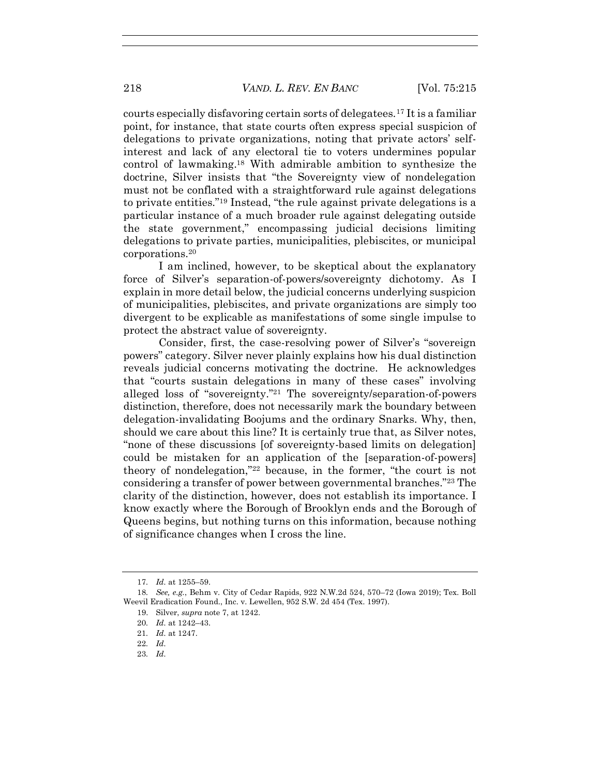courts especially disfavoring certain sorts of delegatees.<sup>17</sup> It is a familiar point, for instance, that state courts often express special suspicion of delegations to private organizations, noting that private actors' selfinterest and lack of any electoral tie to voters undermines popular control of lawmaking. <sup>18</sup> With admirable ambition to synthesize the doctrine, Silver insists that "the Sovereignty view of nondelegation must not be conflated with a straightforward rule against delegations to private entities."<sup>19</sup> Instead, "the rule against private delegations is a particular instance of a much broader rule against delegating outside the state government," encompassing judicial decisions limiting delegations to private parties, municipalities, plebiscites, or municipal corporations.<sup>20</sup>

I am inclined, however, to be skeptical about the explanatory force of Silver's separation-of-powers/sovereignty dichotomy. As I explain in more detail below, the judicial concerns underlying suspicion of municipalities, plebiscites, and private organizations are simply too divergent to be explicable as manifestations of some single impulse to protect the abstract value of sovereignty.

Consider, first, the case-resolving power of Silver's "sovereign powers" category. Silver never plainly explains how his dual distinction reveals judicial concerns motivating the doctrine. He acknowledges that "courts sustain delegations in many of these cases" involving alleged loss of "sovereignty."<sup>21</sup> The sovereignty/separation-of-powers distinction, therefore, does not necessarily mark the boundary between delegation-invalidating Boojums and the ordinary Snarks. Why, then, should we care about this line? It is certainly true that, as Silver notes, "none of these discussions [of sovereignty-based limits on delegation] could be mistaken for an application of the [separation-of-powers] theory of nondelegation,"<sup>22</sup> because, in the former, "the court is not considering a transfer of power between governmental branches."<sup>23</sup> The clarity of the distinction, however, does not establish its importance. I know exactly where the Borough of Brooklyn ends and the Borough of Queens begins, but nothing turns on this information, because nothing of significance changes when I cross the line.

23*. Id.*

<sup>17</sup>*. Id.* at 1255–59.

<sup>18</sup>*. See, e.g.*, Behm v. City of Cedar Rapids, 922 N.W.2d 524, 570–72 (Iowa 2019); Tex. Boll Weevil Eradication Found., Inc. v. Lewellen, 952 S.W. 2d 454 (Tex. 1997).

<sup>19.</sup> Silver, *supra* note [7,](#page-1-0) at 1242.

<sup>20</sup>*. Id.* at 1242–43.

<sup>21</sup>*. Id.* at 1247.

<sup>22</sup>*. Id.*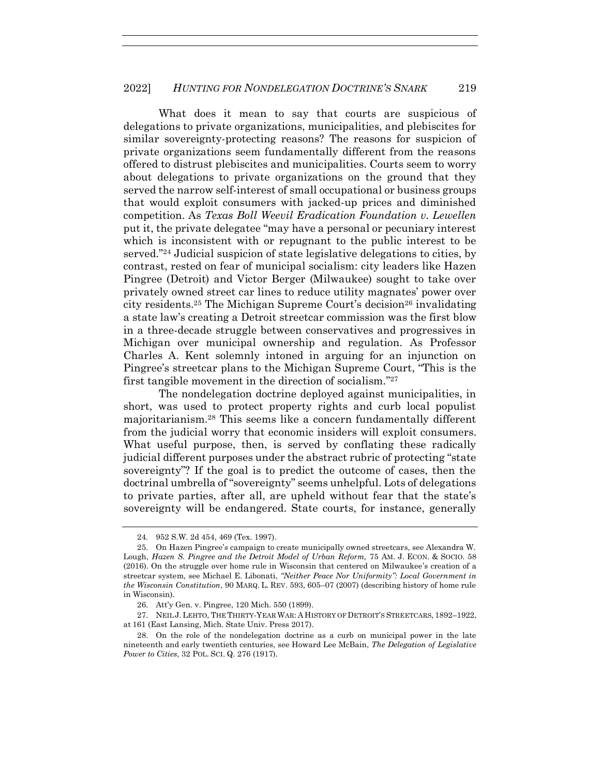What does it mean to say that courts are suspicious of delegations to private organizations, municipalities, and plebiscites for similar sovereignty-protecting reasons? The reasons for suspicion of private organizations seem fundamentally different from the reasons offered to distrust plebiscites and municipalities. Courts seem to worry about delegations to private organizations on the ground that they served the narrow self-interest of small occupational or business groups that would exploit consumers with jacked-up prices and diminished competition. As *Texas Boll Weevil Eradication Foundation v. Lewellen*  put it, the private delegatee "may have a personal or pecuniary interest which is inconsistent with or repugnant to the public interest to be served."<sup>24</sup> Judicial suspicion of state legislative delegations to cities, by contrast, rested on fear of municipal socialism: city leaders like Hazen Pingree (Detroit) and Victor Berger (Milwaukee) sought to take over privately owned street car lines to reduce utility magnates' power over city residents.<sup>25</sup> The Michigan Supreme Court's decision<sup>26</sup> invalidating a state law's creating a Detroit streetcar commission was the first blow in a three-decade struggle between conservatives and progressives in Michigan over municipal ownership and regulation. As Professor Charles A. Kent solemnly intoned in arguing for an injunction on Pingree's streetcar plans to the Michigan Supreme Court, "This is the first tangible movement in the direction of socialism."<sup>27</sup>

The nondelegation doctrine deployed against municipalities, in short, was used to protect property rights and curb local populist majoritarianism.<sup>28</sup> This seems like a concern fundamentally different from the judicial worry that economic insiders will exploit consumers. What useful purpose, then, is served by conflating these radically judicial different purposes under the abstract rubric of protecting "state sovereignty"? If the goal is to predict the outcome of cases, then the doctrinal umbrella of "sovereignty" seems unhelpful. Lots of delegations to private parties, after all, are upheld without fear that the state's sovereignty will be endangered. State courts, for instance, generally

<sup>24</sup>*.* 952 S.W. 2d 454, 469 (Tex. 1997).

<sup>25.</sup> On Hazen Pingree's campaign to create municipally owned streetcars, see Alexandra W. Lough, *Hazen S. Pingree and the Detroit Model of Urban Reform*, 75 AM. J. ECON. & SOCIO. 58 (2016). On the struggle over home rule in Wisconsin that centered on Milwaukee's creation of a streetcar system, see Michael E. Libonati, *"Neither Peace Nor Uniformity": Local Government in the Wisconsin Constitution*, 90 MARQ. L. REV. 593, 605–07 (2007) (describing history of home rule in Wisconsin).

<sup>26.</sup> Att'y Gen. v. Pingree, 120 Mich. 550 (1899).

<sup>27.</sup> NEIL J.LEHTO, THE THIRTY-YEAR WAR: A HISTORY OF DETROIT'S STREETCARS, 1892–1922, at 161 (East Lansing, Mich. State Univ. Press 2017).

<sup>28.</sup> On the role of the nondelegation doctrine as a curb on municipal power in the late nineteenth and early twentieth centuries, see Howard Lee McBain, *The Delegation of Legislative Power to Cities*, 32 POL. SCI. Q. 276 (1917).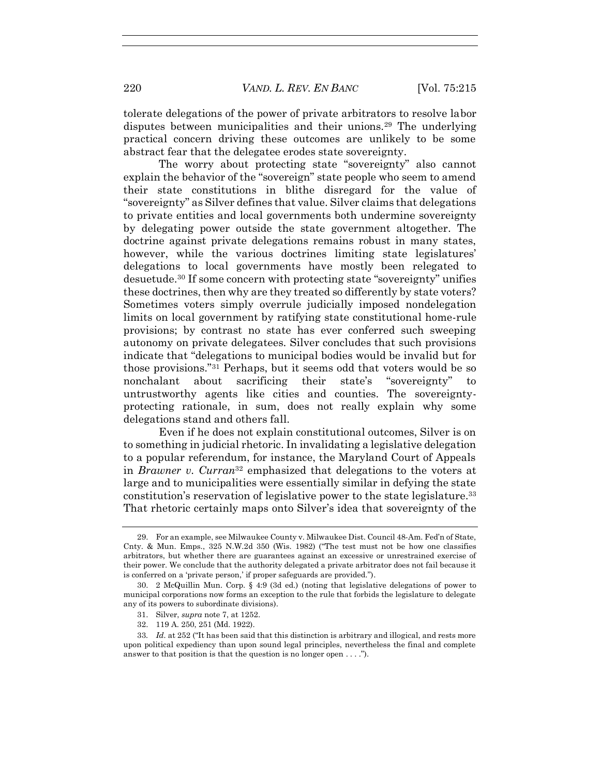tolerate delegations of the power of private arbitrators to resolve labor disputes between municipalities and their unions.<sup>29</sup> The underlying practical concern driving these outcomes are unlikely to be some abstract fear that the delegatee erodes state sovereignty.

The worry about protecting state "sovereignty" also cannot explain the behavior of the "sovereign" state people who seem to amend their state constitutions in blithe disregard for the value of "sovereignty" as Silver defines that value. Silver claims that delegations to private entities and local governments both undermine sovereignty by delegating power outside the state government altogether. The doctrine against private delegations remains robust in many states, however, while the various doctrines limiting state legislatures' delegations to local governments have mostly been relegated to desuetude.<sup>30</sup> If some concern with protecting state "sovereignty" unifies these doctrines, then why are they treated so differently by state voters? Sometimes voters simply overrule judicially imposed nondelegation limits on local government by ratifying state constitutional home-rule provisions; by contrast no state has ever conferred such sweeping autonomy on private delegatees. Silver concludes that such provisions indicate that "delegations to municipal bodies would be invalid but for those provisions." <sup>31</sup> Perhaps, but it seems odd that voters would be so nonchalant about sacrificing their state's "sovereignty" to untrustworthy agents like cities and counties. The sovereigntyprotecting rationale, in sum, does not really explain why some delegations stand and others fall.

Even if he does not explain constitutional outcomes, Silver is on to something in judicial rhetoric. In invalidating a legislative delegation to a popular referendum, for instance, the Maryland Court of Appeals in *Brawner v. Curran*<sup>32</sup> emphasized that delegations to the voters at large and to municipalities were essentially similar in defying the state constitution's reservation of legislative power to the state legislature.<sup>33</sup> That rhetoric certainly maps onto Silver's idea that sovereignty of the

32. 119 A. 250, 251 (Md. 1922).

<sup>29.</sup> For an example, see Milwaukee County v. Milwaukee Dist. Council 48-Am. Fed'n of State, Cnty. & Mun. Emps., 325 N.W.2d 350 (Wis. 1982) ("The test must not be how one classifies arbitrators, but whether there are guarantees against an excessive or unrestrained exercise of their power. We conclude that the authority delegated a private arbitrator does not fail because it is conferred on a 'private person,' if proper safeguards are provided.").

<sup>30.</sup> 2 McQuillin Mun. Corp. § 4:9 (3d ed.) (noting that legislative delegations of power to municipal corporations now forms an exception to the rule that forbids the legislature to delegate any of its powers to subordinate divisions).

<sup>31.</sup> Silver, *supra* note [7,](#page-1-0) at 1252.

<sup>33</sup>*. Id.* at 252 ("It has been said that this distinction is arbitrary and illogical, and rests more upon political expediency than upon sound legal principles, nevertheless the final and complete answer to that position is that the question is no longer open . . . .").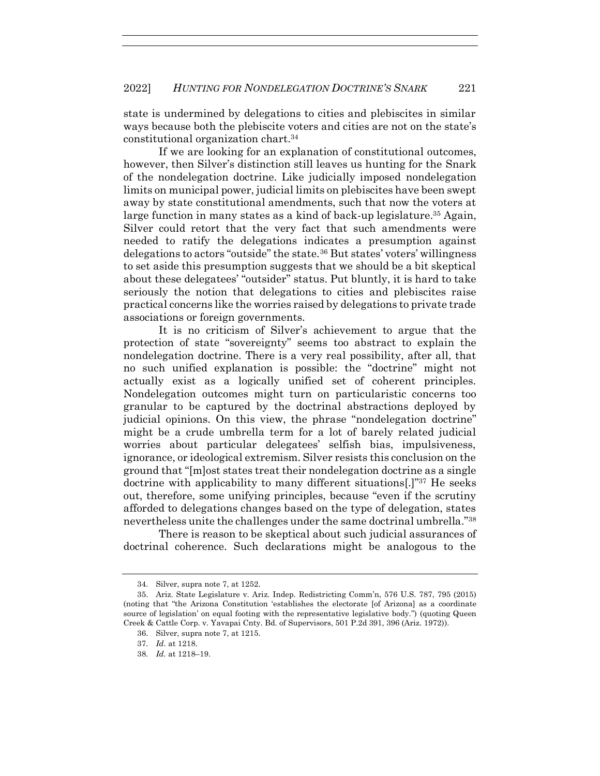state is undermined by delegations to cities and plebiscites in similar ways because both the plebiscite voters and cities are not on the state's constitutional organization chart.<sup>34</sup>

If we are looking for an explanation of constitutional outcomes, however, then Silver's distinction still leaves us hunting for the Snark of the nondelegation doctrine. Like judicially imposed nondelegation limits on municipal power, judicial limits on plebiscites have been swept away by state constitutional amendments, such that now the voters at large function in many states as a kind of back-up legislature.<sup>35</sup> Again, Silver could retort that the very fact that such amendments were needed to ratify the delegations indicates a presumption against delegations to actors "outside" the state.<sup>36</sup> But states' voters' willingness to set aside this presumption suggests that we should be a bit skeptical about these delegatees' "outsider" status. Put bluntly, it is hard to take seriously the notion that delegations to cities and plebiscites raise practical concerns like the worries raised by delegations to private trade associations or foreign governments.

It is no criticism of Silver's achievement to argue that the protection of state "sovereignty" seems too abstract to explain the nondelegation doctrine. There is a very real possibility, after all, that no such unified explanation is possible: the "doctrine" might not actually exist as a logically unified set of coherent principles. Nondelegation outcomes might turn on particularistic concerns too granular to be captured by the doctrinal abstractions deployed by judicial opinions. On this view, the phrase "nondelegation doctrine" might be a crude umbrella term for a lot of barely related judicial worries about particular delegatees' selfish bias, impulsiveness, ignorance, or ideological extremism. Silver resists this conclusion on the ground that "[m]ost states treat their nondelegation doctrine as a single doctrine with applicability to many different situations[.]" <sup>37</sup> He seeks out, therefore, some unifying principles, because "even if the scrutiny afforded to delegations changes based on the type of delegation, states nevertheless unite the challenges under the same doctrinal umbrella."<sup>38</sup>

There is reason to be skeptical about such judicial assurances of doctrinal coherence. Such declarations might be analogous to the

<sup>34.</sup> Silver, supra note [7,](#page-1-0) at 1252.

<sup>35.</sup> Ariz. State Legislature v. Ariz. Indep. Redistricting Comm'n, 576 U.S. 787, 795 (2015) (noting that "the Arizona Constitution 'establishes the electorate [of Arizona] as a coordinate source of legislation' on equal footing with the representative legislative body.") (quoting Queen Creek & Cattle Corp. v. Yavapai Cnty. Bd. of Supervisors, 501 P.2d 391, 396 (Ariz. 1972)).

<sup>36.</sup> Silver, supra note [7,](#page-1-0) at 1215.

<sup>37</sup>*. Id.* at 1218.

<sup>38</sup>*. Id.* at 1218–19.